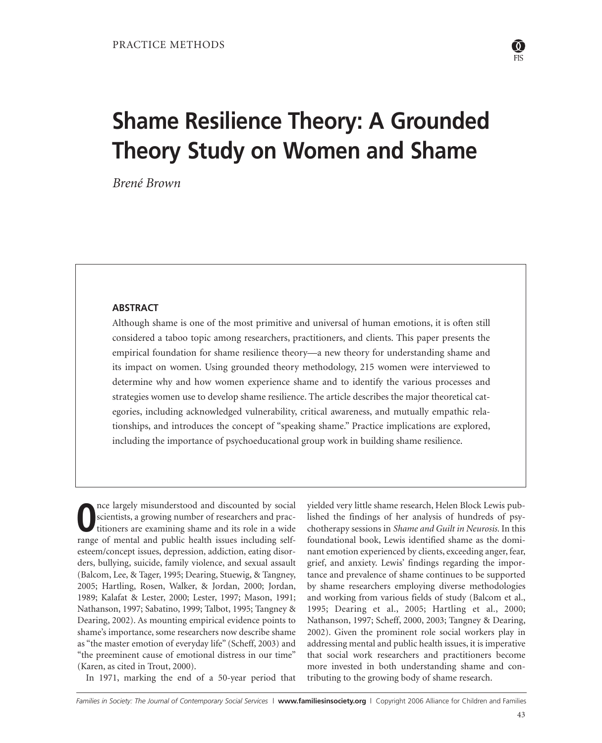# **Shame Resilience Theory: A Grounded Theory Study on Women and Shame**

*Brené Brown*

## **ABSTRACT**

Although shame is one of the most primitive and universal of human emotions, it is often still considered a taboo topic among researchers, practitioners, and clients. This paper presents the empirical foundation for shame resilience theory—a new theory for understanding shame and its impact on women. Using grounded theory methodology, 215 women were interviewed to determine why and how women experience shame and to identify the various processes and strategies women use to develop shame resilience. The article describes the major theoretical categories, including acknowledged vulnerability, critical awareness, and mutually empathic relationships, and introduces the concept of "speaking shame." Practice implications are explored, including the importance of psychoeducational group work in building shame resilience.

**0** nce largely misunderstood and discounted by social scientists, a growing number of researchers and practitioners are examining shame and its role in a wide range of mental and public health issues including selfesteem/concept issues, depression, addiction, eating disorders, bullying, suicide, family violence, and sexual assault (Balcom, Lee, & Tager, 1995; Dearing, Stuewig, & Tangney, 2005; Hartling, Rosen, Walker, & Jordan, 2000; Jordan, 1989; Kalafat & Lester, 2000; Lester, 1997; Mason, 1991; Nathanson, 1997; Sabatino, 1999; Talbot, 1995; Tangney & Dearing, 2002). As mounting empirical evidence points to shame's importance, some researchers now describe shame as "the master emotion of everyday life" (Scheff, 2003) and "the preeminent cause of emotional distress in our time" (Karen, as cited in Trout, 2000).

In 1971, marking the end of a 50-year period that

yielded very little shame research, Helen Block Lewis published the findings of her analysis of hundreds of psychotherapy sessions in *Shame and Guilt in Neurosis.* In this foundational book, Lewis identified shame as the dominant emotion experienced by clients, exceeding anger, fear, grief, and anxiety. Lewis' findings regarding the importance and prevalence of shame continues to be supported by shame researchers employing diverse methodologies and working from various fields of study (Balcom et al., 1995; Dearing et al., 2005; Hartling et al., 2000; Nathanson, 1997; Scheff, 2000, 2003; Tangney & Dearing, 2002). Given the prominent role social workers play in addressing mental and public health issues, it is imperative that social work researchers and practitioners become more invested in both understanding shame and contributing to the growing body of shame research.

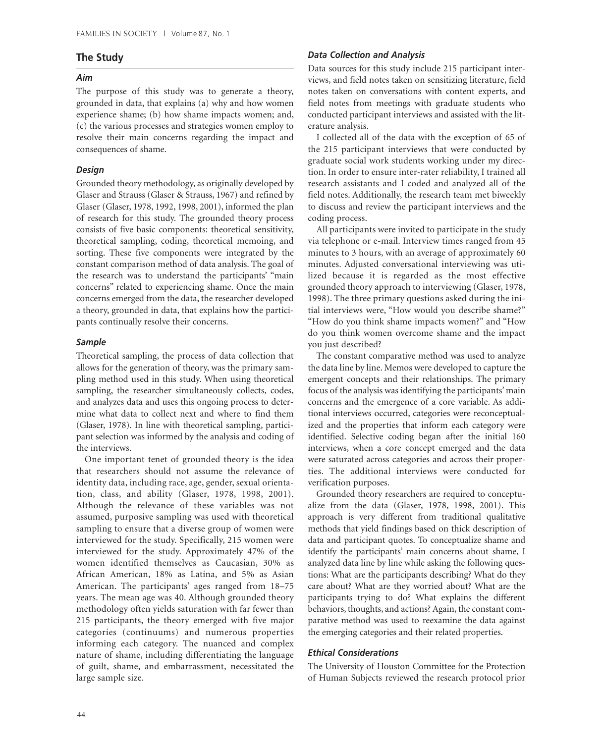## **The Study**

## *Aim*

The purpose of this study was to generate a theory, grounded in data, that explains (a) why and how women experience shame; (b) how shame impacts women; and, (c) the various processes and strategies women employ to resolve their main concerns regarding the impact and consequences of shame.

## *Design*

Grounded theory methodology, as originally developed by Glaser and Strauss (Glaser & Strauss, 1967) and refined by Glaser (Glaser, 1978, 1992, 1998, 2001), informed the plan of research for this study. The grounded theory process consists of five basic components: theoretical sensitivity, theoretical sampling, coding, theoretical memoing, and sorting. These five components were integrated by the constant comparison method of data analysis. The goal of the research was to understand the participants' "main concerns" related to experiencing shame. Once the main concerns emerged from the data, the researcher developed a theory, grounded in data, that explains how the participants continually resolve their concerns.

## *Sample*

Theoretical sampling, the process of data collection that allows for the generation of theory, was the primary sampling method used in this study. When using theoretical sampling, the researcher simultaneously collects, codes, and analyzes data and uses this ongoing process to determine what data to collect next and where to find them (Glaser, 1978). In line with theoretical sampling, participant selection was informed by the analysis and coding of the interviews.

One important tenet of grounded theory is the idea that researchers should not assume the relevance of identity data, including race, age, gender, sexual orientation, class, and ability (Glaser, 1978, 1998, 2001). Although the relevance of these variables was not assumed, purposive sampling was used with theoretical sampling to ensure that a diverse group of women were interviewed for the study. Specifically, 215 women were interviewed for the study. Approximately 47% of the women identified themselves as Caucasian, 30% as African American, 18% as Latina, and 5% as Asian American. The participants' ages ranged from 18–75 years. The mean age was 40. Although grounded theory methodology often yields saturation with far fewer than 215 participants, the theory emerged with five major categories (continuums) and numerous properties informing each category. The nuanced and complex nature of shame, including differentiating the language of guilt, shame, and embarrassment, necessitated the large sample size.

## *Data Collection and Analysis*

Data sources for this study include 215 participant interviews, and field notes taken on sensitizing literature, field notes taken on conversations with content experts, and field notes from meetings with graduate students who conducted participant interviews and assisted with the literature analysis.

I collected all of the data with the exception of 65 of the 215 participant interviews that were conducted by graduate social work students working under my direction. In order to ensure inter-rater reliability, I trained all research assistants and I coded and analyzed all of the field notes. Additionally, the research team met biweekly to discuss and review the participant interviews and the coding process.

All participants were invited to participate in the study via telephone or e-mail. Interview times ranged from 45 minutes to 3 hours, with an average of approximately 60 minutes. Adjusted conversational interviewing was utilized because it is regarded as the most effective grounded theory approach to interviewing (Glaser, 1978, 1998). The three primary questions asked during the initial interviews were, "How would you describe shame?" "How do you think shame impacts women?" and "How do you think women overcome shame and the impact you just described?

The constant comparative method was used to analyze the data line by line. Memos were developed to capture the emergent concepts and their relationships. The primary focus of the analysis was identifying the participants' main concerns and the emergence of a core variable. As additional interviews occurred, categories were reconceptualized and the properties that inform each category were identified. Selective coding began after the initial 160 interviews, when a core concept emerged and the data were saturated across categories and across their properties. The additional interviews were conducted for verification purposes.

Grounded theory researchers are required to conceptualize from the data (Glaser, 1978, 1998, 2001). This approach is very different from traditional qualitative methods that yield findings based on thick description of data and participant quotes. To conceptualize shame and identify the participants' main concerns about shame, I analyzed data line by line while asking the following questions: What are the participants describing? What do they care about? What are they worried about? What are the participants trying to do? What explains the different behaviors, thoughts, and actions? Again, the constant comparative method was used to reexamine the data against the emerging categories and their related properties.

#### *Ethical Considerations*

The University of Houston Committee for the Protection of Human Subjects reviewed the research protocol prior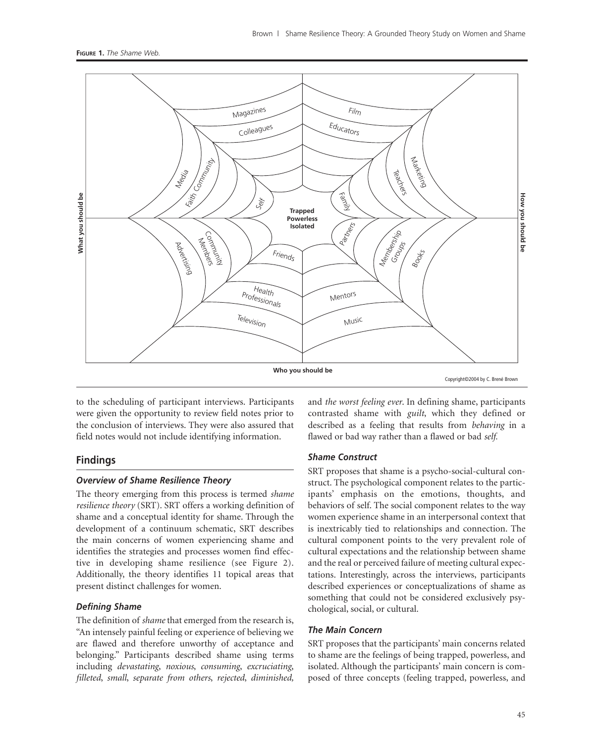

to the scheduling of participant interviews. Participants were given the opportunity to review field notes prior to the conclusion of interviews. They were also assured that field notes would not include identifying information.

## **Findings**

#### *Overview of Shame Resilience Theory*

The theory emerging from this process is termed *shame resilience theory* (SRT). SRT offers a working definition of shame and a conceptual identity for shame. Through the development of a continuum schematic, SRT describes the main concerns of women experiencing shame and identifies the strategies and processes women find effective in developing shame resilience (see Figure 2). Additionally, the theory identifies 11 topical areas that present distinct challenges for women.

#### *Defining Shame*

The definition of *shame* that emerged from the research is, "An intensely painful feeling or experience of believing we are flawed and therefore unworthy of acceptance and belonging." Participants described shame using terms including *devastating*, *noxious*, *consuming*, *excruciating*, *filleted*, *small*, *separate from others*, *rejected*, *diminished,* and *the worst feeling ever*. In defining shame, participants contrasted shame with *guilt*, which they defined or described as a feeling that results from *behaving* in a flawed or bad way rather than a flawed or bad *self.*

## *Shame Construct*

SRT proposes that shame is a psycho-social-cultural construct. The psychological component relates to the participants' emphasis on the emotions, thoughts, and behaviors of self. The social component relates to the way women experience shame in an interpersonal context that is inextricably tied to relationships and connection. The cultural component points to the very prevalent role of cultural expectations and the relationship between shame and the real or perceived failure of meeting cultural expectations. Interestingly, across the interviews, participants described experiences or conceptualizations of shame as something that could not be considered exclusively psychological, social, or cultural.

## *The Main Concern*

SRT proposes that the participants' main concerns related to shame are the feelings of being trapped, powerless, and isolated. Although the participants' main concern is composed of three concepts (feeling trapped, powerless, and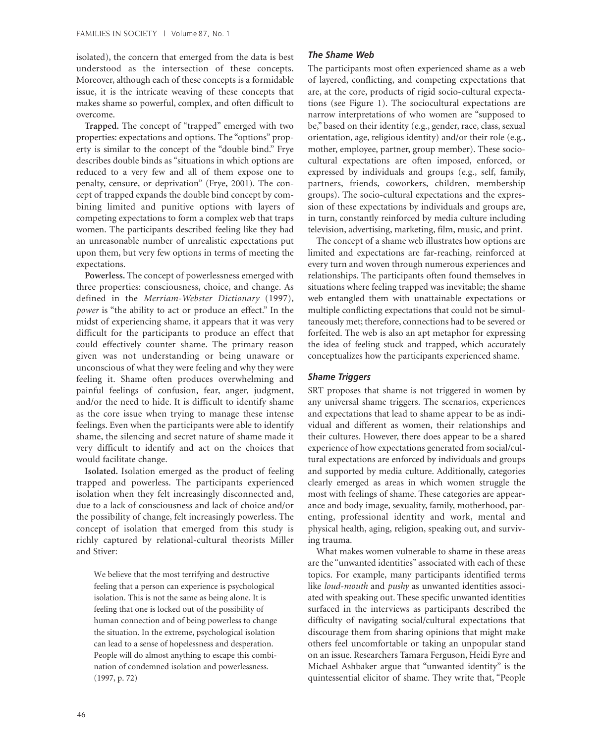isolated), the concern that emerged from the data is best understood as the intersection of these concepts. Moreover, although each of these concepts is a formidable issue, it is the intricate weaving of these concepts that makes shame so powerful, complex, and often difficult to overcome.

**Trapped.** The concept of "trapped" emerged with two properties: expectations and options. The "options" property is similar to the concept of the "double bind." Frye describes double binds as "situations in which options are reduced to a very few and all of them expose one to penalty, censure, or deprivation" (Frye, 2001). The concept of trapped expands the double bind concept by combining limited and punitive options with layers of competing expectations to form a complex web that traps women. The participants described feeling like they had an unreasonable number of unrealistic expectations put upon them, but very few options in terms of meeting the expectations.

**Powerless.** The concept of powerlessness emerged with three properties: consciousness, choice, and change. As defined in the *Merriam-Webster Dictionary* (1997)*, power* is "the ability to act or produce an effect." In the midst of experiencing shame, it appears that it was very difficult for the participants to produce an effect that could effectively counter shame. The primary reason given was not understanding or being unaware or unconscious of what they were feeling and why they were feeling it. Shame often produces overwhelming and painful feelings of confusion, fear, anger, judgment, and/or the need to hide. It is difficult to identify shame as the core issue when trying to manage these intense feelings. Even when the participants were able to identify shame, the silencing and secret nature of shame made it very difficult to identify and act on the choices that would facilitate change.

**Isolated.** Isolation emerged as the product of feeling trapped and powerless. The participants experienced isolation when they felt increasingly disconnected and, due to a lack of consciousness and lack of choice and/or the possibility of change, felt increasingly powerless. The concept of isolation that emerged from this study is richly captured by relational-cultural theorists Miller and Stiver:

We believe that the most terrifying and destructive feeling that a person can experience is psychological isolation. This is not the same as being alone. It is feeling that one is locked out of the possibility of human connection and of being powerless to change the situation. In the extreme, psychological isolation can lead to a sense of hopelessness and desperation. People will do almost anything to escape this combination of condemned isolation and powerlessness. (1997, p. 72)

## *The Shame Web*

The participants most often experienced shame as a web of layered, conflicting, and competing expectations that are, at the core, products of rigid socio-cultural expectations (see Figure 1). The sociocultural expectations are narrow interpretations of who women are "supposed to be," based on their identity (e.g., gender, race, class, sexual orientation, age, religious identity) and/or their role (e.g., mother, employee, partner, group member). These sociocultural expectations are often imposed, enforced, or expressed by individuals and groups (e.g., self, family, partners, friends, coworkers, children, membership groups). The socio-cultural expectations and the expression of these expectations by individuals and groups are, in turn, constantly reinforced by media culture including television, advertising, marketing, film, music, and print.

The concept of a shame web illustrates how options are limited and expectations are far-reaching, reinforced at every turn and woven through numerous experiences and relationships. The participants often found themselves in situations where feeling trapped was inevitable; the shame web entangled them with unattainable expectations or multiple conflicting expectations that could not be simultaneously met; therefore, connections had to be severed or forfeited. The web is also an apt metaphor for expressing the idea of feeling stuck and trapped, which accurately conceptualizes how the participants experienced shame.

## *Shame Triggers*

SRT proposes that shame is not triggered in women by any universal shame triggers. The scenarios, experiences and expectations that lead to shame appear to be as individual and different as women, their relationships and their cultures. However, there does appear to be a shared experience of how expectations generated from social/cultural expectations are enforced by individuals and groups and supported by media culture. Additionally, categories clearly emerged as areas in which women struggle the most with feelings of shame. These categories are appearance and body image, sexuality, family, motherhood, parenting, professional identity and work, mental and physical health, aging, religion, speaking out, and surviving trauma.

What makes women vulnerable to shame in these areas are the "unwanted identities" associated with each of these topics. For example, many participants identified terms like *loud-mouth* and *pushy* as unwanted identities associated with speaking out. These specific unwanted identities surfaced in the interviews as participants described the difficulty of navigating social/cultural expectations that discourage them from sharing opinions that might make others feel uncomfortable or taking an unpopular stand on an issue. Researchers Tamara Ferguson, Heidi Eyre and Michael Ashbaker argue that "unwanted identity" is the quintessential elicitor of shame. They write that, "People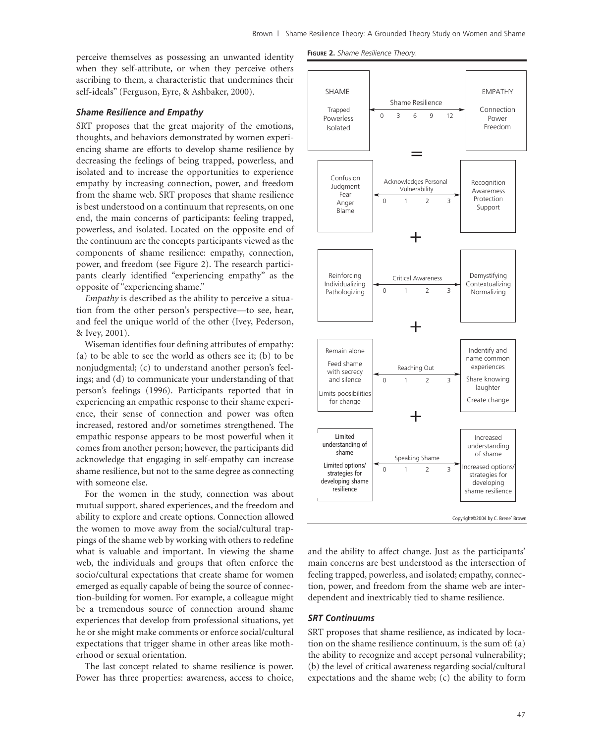perceive themselves as possessing an unwanted identity when they self-attribute, or when they perceive others ascribing to them, a characteristic that undermines their self-ideals" (Ferguson, Eyre, & Ashbaker, 2000).

#### *Shame Resilience and Empathy*

SRT proposes that the great majority of the emotions, thoughts, and behaviors demonstrated by women experiencing shame are efforts to develop shame resilience by decreasing the feelings of being trapped, powerless, and isolated and to increase the opportunities to experience empathy by increasing connection, power, and freedom from the shame web. SRT proposes that shame resilience is best understood on a continuum that represents, on one end, the main concerns of participants: feeling trapped, powerless, and isolated. Located on the opposite end of the continuum are the concepts participants viewed as the components of shame resilience: empathy, connection, power, and freedom (see Figure 2). The research participants clearly identified "experiencing empathy" as the opposite of "experiencing shame."

*Empathy* is described as the ability to perceive a situation from the other person's perspective—to see, hear, and feel the unique world of the other (Ivey, Pederson, & Ivey, 2001).

Wiseman identifies four defining attributes of empathy: (a) to be able to see the world as others see it; (b) to be nonjudgmental; (c) to understand another person's feelings; and (d) to communicate your understanding of that person's feelings (1996). Participants reported that in experiencing an empathic response to their shame experience, their sense of connection and power was often increased, restored and/or sometimes strengthened. The empathic response appears to be most powerful when it comes from another person; however, the participants did acknowledge that engaging in self-empathy can increase shame resilience, but not to the same degree as connecting with someone else.

For the women in the study, connection was about mutual support, shared experiences, and the freedom and ability to explore and create options. Connection allowed the women to move away from the social/cultural trappings of the shame web by working with others to redefine what is valuable and important. In viewing the shame web, the individuals and groups that often enforce the socio/cultural expectations that create shame for women emerged as equally capable of being the source of connection-building for women. For example, a colleague might be a tremendous source of connection around shame experiences that develop from professional situations, yet he or she might make comments or enforce social/cultural expectations that trigger shame in other areas like motherhood or sexual orientation.

The last concept related to shame resilience is power. Power has three properties: awareness, access to choice,

**FIGURE 2.** *Shame Resilience Theory.* 



and the ability to affect change. Just as the participants' main concerns are best understood as the intersection of feeling trapped, powerless, and isolated; empathy, connection, power, and freedom from the shame web are interdependent and inextricably tied to shame resilience.

#### *SRT Continuums*

SRT proposes that shame resilience, as indicated by location on the shame resilience continuum, is the sum of: (a) the ability to recognize and accept personal vulnerability; (b) the level of critical awareness regarding social/cultural expectations and the shame web; (c) the ability to form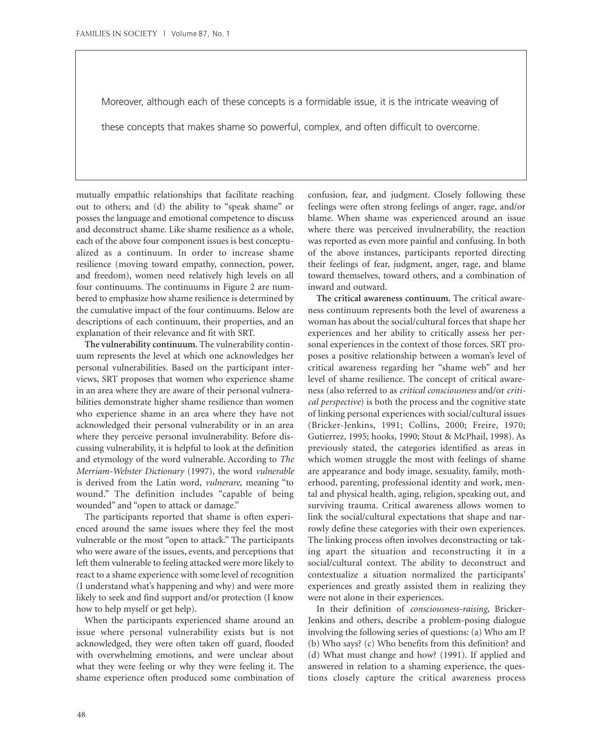Moreover, although each of these concepts is a formidable issue, it is the intricate weaving of

these concepts that makes shame so powerful, complex, and often difficult to overcome.

mutually empathic relationships that facilitate reaching out to others; and (d) the ability to "speak shame" or posses the language and emotional competence to discuss and deconstruct shame. Like shame resilience as a whole, each of the above four component issues is best conceptualized as a continuum. In order to increase shame resilience (moving toward empathy, connection, power, and freedom), women need relatively high levels on all four continuums. The continuums in Figure 2 are numbered to emphasize how shame resilience is determined by the cumulative impact of the four continuums. Below are descriptions of each continuum, their properties, and an explanation of their relevance and fit with SRT.

**The vulnerability continuum.** The vulnerability continuum represents the level at which one acknowledges her personal vulnerabilities. Based on the participant interviews, SRT proposes that women who experience shame in an area where they are aware of their personal vulnerabilities demonstrate higher shame resilience than women who experience shame in an area where they have not acknowledged their personal vulnerability or in an area where they perceive personal invulnerability. Before discussing vulnerability, it is helpful to look at the definition and etymology of the word vulnerable. According to *The Merriam-Webster Dictionary* (1997)*,* the word *vulnerable* is derived from the Latin word, *vulnerare*, meaning "to wound." The definition includes "capable of being wounded" and "open to attack or damage."

The participants reported that shame is often experienced around the same issues where they feel the most vulnerable or the most "open to attack." The participants who were aware of the issues, events, and perceptions that left them vulnerable to feeling attacked were more likely to react to a shame experience with some level of recognition (I understand what's happening and why) and were more likely to seek and find support and/or protection (I know how to help myself or get help).

When the participants experienced shame around an issue where personal vulnerability exists but is not acknowledged, they were often taken off guard, flooded with overwhelming emotions, and were unclear about what they were feeling or why they were feeling it. The shame experience often produced some combination of confusion, fear, and judgment. Closely following these feelings were often strong feelings of anger, rage, and/or blame. When shame was experienced around an issue where there was perceived invulnerability, the reaction was reported as even more painful and confusing. In both of the above instances, participants reported directing their feelings of fear, judgment, anger, rage, and blame toward themselves, toward others, and a combination of inward and outward.

**The critical awareness continuum.** The critical awareness continuum represents both the level of awareness a woman has about the social/cultural forces that shape her experiences and her ability to critically assess her personal experiences in the context of those forces. SRT proposes a positive relationship between a woman's level of critical awareness regarding her "shame web" and her level of shame resilience. The concept of critical awareness (also referred to as *critical consciousness* and/or *critical perspective*) is both the process and the cognitive state of linking personal experiences with social/cultural issues (Bricker-Jenkins, 1991; Collins, 2000; Freire, 1970; Gutierrez, 1995; hooks, 1990; Stout & McPhail, 1998). As previously stated, the categories identified as areas in which women struggle the most with feelings of shame are appearance and body image, sexuality, family, motherhood, parenting, professional identity and work, mental and physical health, aging, religion, speaking out, and surviving trauma. Critical awareness allows women to link the social/cultural expectations that shape and narrowly define these categories with their own experiences. The linking process often involves deconstructing or taking apart the situation and reconstructing it in a social/cultural context. The ability to deconstruct and contextualize a situation normalized the participants' experiences and greatly assisted them in realizing they were not alone in their experiences.

In their definition of *consciousness-raising*, Bricker-Jenkins and others, describe a problem-posing dialogue involving the following series of questions: (a) Who am I? (b) Who says? (c) Who benefits from this definition? and (d) What must change and how? (1991). If applied and answered in relation to a shaming experience, the questions closely capture the critical awareness process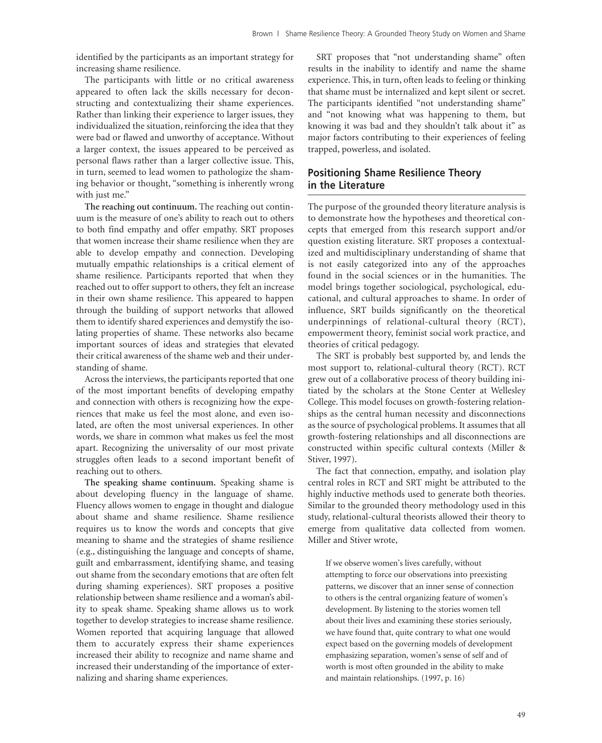identified by the participants as an important strategy for increasing shame resilience.

The participants with little or no critical awareness appeared to often lack the skills necessary for deconstructing and contextualizing their shame experiences. Rather than linking their experience to larger issues, they individualized the situation, reinforcing the idea that they were bad or flawed and unworthy of acceptance. Without a larger context, the issues appeared to be perceived as personal flaws rather than a larger collective issue. This, in turn, seemed to lead women to pathologize the shaming behavior or thought, "something is inherently wrong with just me."

**The reaching out continuum.** The reaching out continuum is the measure of one's ability to reach out to others to both find empathy and offer empathy. SRT proposes that women increase their shame resilience when they are able to develop empathy and connection. Developing mutually empathic relationships is a critical element of shame resilience. Participants reported that when they reached out to offer support to others, they felt an increase in their own shame resilience. This appeared to happen through the building of support networks that allowed them to identify shared experiences and demystify the isolating properties of shame. These networks also became important sources of ideas and strategies that elevated their critical awareness of the shame web and their understanding of shame.

Across the interviews, the participants reported that one of the most important benefits of developing empathy and connection with others is recognizing how the experiences that make us feel the most alone, and even isolated, are often the most universal experiences. In other words, we share in common what makes us feel the most apart. Recognizing the universality of our most private struggles often leads to a second important benefit of reaching out to others.

**The speaking shame continuum.** Speaking shame is about developing fluency in the language of shame. Fluency allows women to engage in thought and dialogue about shame and shame resilience. Shame resilience requires us to know the words and concepts that give meaning to shame and the strategies of shame resilience (e.g., distinguishing the language and concepts of shame, guilt and embarrassment, identifying shame, and teasing out shame from the secondary emotions that are often felt during shaming experiences). SRT proposes a positive relationship between shame resilience and a woman's ability to speak shame. Speaking shame allows us to work together to develop strategies to increase shame resilience. Women reported that acquiring language that allowed them to accurately express their shame experiences increased their ability to recognize and name shame and increased their understanding of the importance of externalizing and sharing shame experiences.

SRT proposes that "not understanding shame" often results in the inability to identify and name the shame experience. This, in turn, often leads to feeling or thinking that shame must be internalized and kept silent or secret. The participants identified "not understanding shame" and "not knowing what was happening to them, but knowing it was bad and they shouldn't talk about it" as major factors contributing to their experiences of feeling trapped, powerless, and isolated.

# **Positioning Shame Resilience Theory in the Literature**

The purpose of the grounded theory literature analysis is to demonstrate how the hypotheses and theoretical concepts that emerged from this research support and/or question existing literature. SRT proposes a contextualized and multidisciplinary understanding of shame that is not easily categorized into any of the approaches found in the social sciences or in the humanities. The model brings together sociological, psychological, educational, and cultural approaches to shame. In order of influence, SRT builds significantly on the theoretical underpinnings of relational-cultural theory (RCT), empowerment theory, feminist social work practice, and theories of critical pedagogy.

The SRT is probably best supported by, and lends the most support to, relational-cultural theory (RCT). RCT grew out of a collaborative process of theory building initiated by the scholars at the Stone Center at Wellesley College. This model focuses on growth-fostering relationships as the central human necessity and disconnections as the source of psychological problems. It assumes that all growth-fostering relationships and all disconnections are constructed within specific cultural contexts (Miller & Stiver, 1997).

The fact that connection, empathy, and isolation play central roles in RCT and SRT might be attributed to the highly inductive methods used to generate both theories. Similar to the grounded theory methodology used in this study, relational-cultural theorists allowed their theory to emerge from qualitative data collected from women. Miller and Stiver wrote,

If we observe women's lives carefully, without attempting to force our observations into preexisting patterns, we discover that an inner sense of connection to others is the central organizing feature of women's development. By listening to the stories women tell about their lives and examining these stories seriously, we have found that, quite contrary to what one would expect based on the governing models of development emphasizing separation, women's sense of self and of worth is most often grounded in the ability to make and maintain relationships. (1997, p. 16)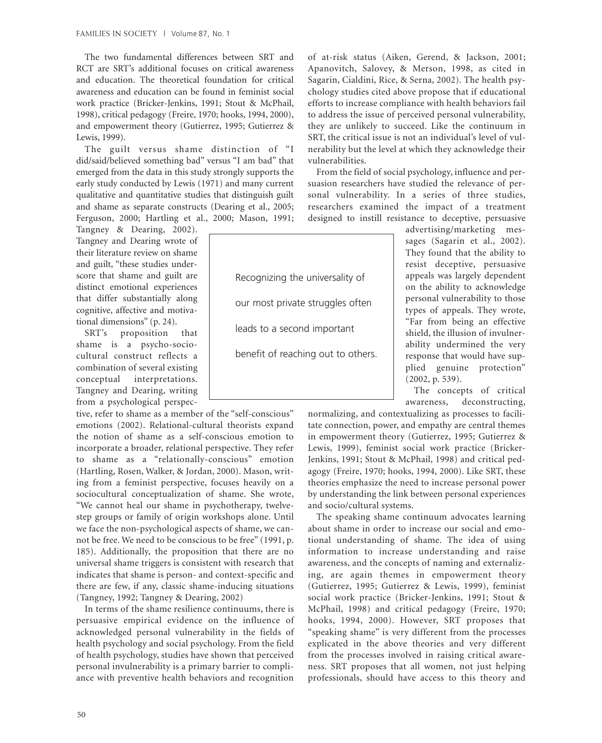The two fundamental differences between SRT and RCT are SRT's additional focuses on critical awareness and education. The theoretical foundation for critical awareness and education can be found in feminist social work practice (Bricker-Jenkins, 1991; Stout & McPhail, 1998), critical pedagogy (Freire, 1970; hooks, 1994, 2000), and empowerment theory (Gutierrez, 1995; Gutierrez & Lewis, 1999).

The guilt versus shame distinction of "I did/said/believed something bad" versus "I am bad" that emerged from the data in this study strongly supports the early study conducted by Lewis (1971) and many current qualitative and quantitative studies that distinguish guilt and shame as separate constructs (Dearing et al., 2005; Ferguson, 2000; Hartling et al., 2000; Mason, 1991;

Tangney & Dearing, 2002). Tangney and Dearing wrote of their literature review on shame and guilt, "these studies underscore that shame and guilt are distinct emotional experiences that differ substantially along cognitive, affective and motivational dimensions" (p. 24).

SRT's proposition that shame is a psycho-sociocultural construct reflects a combination of several existing conceptual interpretations. Tangney and Dearing, writing from a psychological perspec-

tive, refer to shame as a member of the "self-conscious" emotions (2002). Relational-cultural theorists expand the notion of shame as a self-conscious emotion to incorporate a broader, relational perspective. They refer to shame as a "relationally-conscious" emotion (Hartling, Rosen, Walker, & Jordan, 2000). Mason, writing from a feminist perspective, focuses heavily on a sociocultural conceptualization of shame. She wrote, "We cannot heal our shame in psychotherapy, twelvestep groups or family of origin workshops alone. Until we face the non-psychological aspects of shame, we cannot be free. We need to be conscious to be free" (1991, p. 185). Additionally, the proposition that there are no universal shame triggers is consistent with research that indicates that shame is person- and context-specific and there are few, if any, classic shame-inducing situations (Tangney, 1992; Tangney & Dearing, 2002)

In terms of the shame resilience continuums, there is persuasive empirical evidence on the influence of acknowledged personal vulnerability in the fields of health psychology and social psychology. From the field of health psychology, studies have shown that perceived personal invulnerability is a primary barrier to compliance with preventive health behaviors and recognition of at-risk status (Aiken, Gerend, & Jackson, 2001; Apanovitch, Salovey, & Merson, 1998, as cited in Sagarin, Cialdini, Rice, & Serna, 2002). The health psychology studies cited above propose that if educational efforts to increase compliance with health behaviors fail to address the issue of perceived personal vulnerability, they are unlikely to succeed. Like the continuum in SRT, the critical issue is not an individual's level of vulnerability but the level at which they acknowledge their vulnerabilities.

From the field of social psychology, influence and persuasion researchers have studied the relevance of personal vulnerability. In a series of three studies, researchers examined the impact of a treatment designed to instill resistance to deceptive, persuasive

> sages (Sagarin et al., 2002). They found that the ability to resist deceptive, persuasive appeals was largely dependent on the ability to acknowledge personal vulnerability to those types of appeals. They wrote, "Far from being an effective shield, the illusion of invulnerability undermined the very response that would have supplied genuine protection" (2002, p. 539).

advertising/marketing mes-

The concepts of critical awareness, deconstructing,

normalizing, and contextualizing as processes to facilitate connection, power, and empathy are central themes in empowerment theory (Gutierrez, 1995; Gutierrez & Lewis, 1999), feminist social work practice (Bricker-Jenkins, 1991; Stout & McPhail, 1998) and critical pedagogy (Freire, 1970; hooks, 1994, 2000). Like SRT, these theories emphasize the need to increase personal power by understanding the link between personal experiences and socio/cultural systems.

The speaking shame continuum advocates learning about shame in order to increase our social and emotional understanding of shame. The idea of using information to increase understanding and raise awareness, and the concepts of naming and externalizing, are again themes in empowerment theory (Gutierrez, 1995; Gutierrez & Lewis, 1999), feminist social work practice (Bricker-Jenkins, 1991; Stout & McPhail, 1998) and critical pedagogy (Freire, 1970; hooks, 1994, 2000). However, SRT proposes that "speaking shame" is very different from the processes explicated in the above theories and very different from the processes involved in raising critical awareness. SRT proposes that all women, not just helping professionals, should have access to this theory and

Recognizing the universality of our most private struggles often leads to a second important benefit of reaching out to others.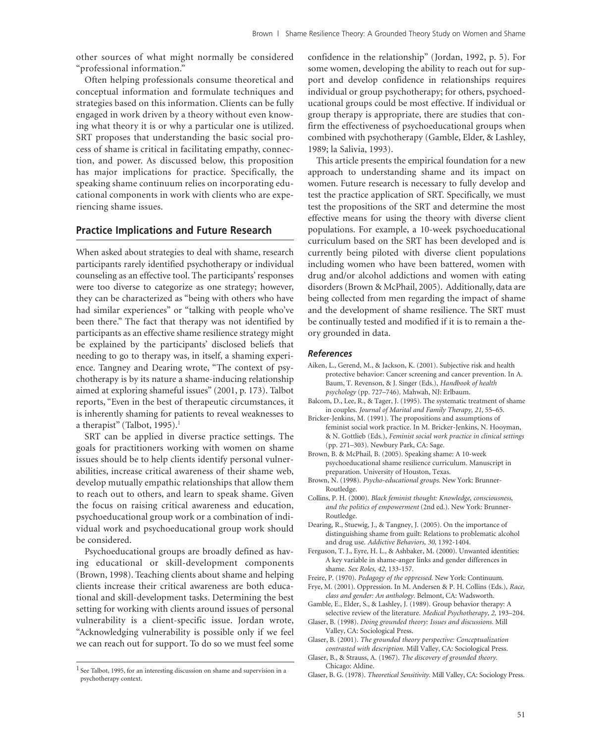other sources of what might normally be considered "professional information."

Often helping professionals consume theoretical and conceptual information and formulate techniques and strategies based on this information. Clients can be fully engaged in work driven by a theory without even knowing what theory it is or why a particular one is utilized. SRT proposes that understanding the basic social process of shame is critical in facilitating empathy, connection, and power. As discussed below, this proposition has major implications for practice. Specifically, the speaking shame continuum relies on incorporating educational components in work with clients who are experiencing shame issues.

#### **Practice Implications and Future Research**

When asked about strategies to deal with shame, research participants rarely identified psychotherapy or individual counseling as an effective tool. The participants' responses were too diverse to categorize as one strategy; however, they can be characterized as "being with others who have had similar experiences" or "talking with people who've been there." The fact that therapy was not identified by participants as an effective shame resilience strategy might be explained by the participants' disclosed beliefs that needing to go to therapy was, in itself, a shaming experience. Tangney and Dearing wrote, "The context of psychotherapy is by its nature a shame-inducing relationship aimed at exploring shameful issues" (2001, p. 173). Talbot reports, "Even in the best of therapeutic circumstances, it is inherently shaming for patients to reveal weaknesses to a therapist" (Talbot, 1995).<sup>1</sup>

SRT can be applied in diverse practice settings. The goals for practitioners working with women on shame issues should be to help clients identify personal vulnerabilities, increase critical awareness of their shame web, develop mutually empathic relationships that allow them to reach out to others, and learn to speak shame. Given the focus on raising critical awareness and education, psychoeducational group work or a combination of individual work and psychoeducational group work should be considered.

Psychoeducational groups are broadly defined as having educational or skill-development components (Brown, 1998). Teaching clients about shame and helping clients increase their critical awareness are both educational and skill-development tasks. Determining the best setting for working with clients around issues of personal vulnerability is a client-specific issue. Jordan wrote, "Acknowledging vulnerability is possible only if we feel we can reach out for support. To do so we must feel some

confidence in the relationship" (Jordan, 1992, p. 5). For some women, developing the ability to reach out for support and develop confidence in relationships requires individual or group psychotherapy; for others, psychoeducational groups could be most effective. If individual or group therapy is appropriate, there are studies that confirm the effectiveness of psychoeducational groups when combined with psychotherapy (Gamble, Elder, & Lashley, 1989; la Salivia, 1993).

This article presents the empirical foundation for a new approach to understanding shame and its impact on women. Future research is necessary to fully develop and test the practice application of SRT. Specifically, we must test the propositions of the SRT and determine the most effective means for using the theory with diverse client populations. For example, a 10-week psychoeducational curriculum based on the SRT has been developed and is currently being piloted with diverse client populations including women who have been battered, women with drug and/or alcohol addictions and women with eating disorders (Brown & McPhail, 2005). Additionally, data are being collected from men regarding the impact of shame and the development of shame resilience. The SRT must be continually tested and modified if it is to remain a theory grounded in data.

#### *References*

- Aiken, L., Gerend, M., & Jackson, K. (2001). Subjective risk and health protective behavior: Cancer screening and cancer prevention. In A. Baum, T. Revenson, & J. Singer (Eds.), *Handbook of health psychology* (pp. 727–746). Mahwah, NJ: Erlbaum.
- Balcom, D., Lee, R., & Tager, J. (1995). The systematic treatment of shame in couples. *Journal of Marital and Family Therapy, 21*, 55–65.
- Bricker-Jenkins, M. (1991). The propositions and assumptions of feminist social work practice. In M. Bricker-Jenkins, N. Hooyman, & N. Gottlieb (Eds.), *Feminist social work practice in clinical settings* (pp. 271–303). Newbury Park, CA: Sage.
- Brown, B. & McPhail, B. (2005). Speaking shame: A 10-week psychoeducational shame resilience curriculum. Manuscript in preparation. University of Houston, Texas.
- Brown, N. (1998). *Psycho-educational groups.* New York: Brunner-Routledge.
- Collins, P. H. (2000). *Black feminist thought: Knowledge, consciousness, and the politics of empowerment* (2nd ed.). New York: Brunner-Routledge.
- Dearing, R., Stuewig, J., & Tangney, J. (2005). On the importance of distinguishing shame from guilt: Relations to problematic alcohol and drug use. *Addictive Behaviors, 30*, 1392-1404.
- Ferguson, T. J., Eyre, H. L., & Ashbaker, M. (2000). Unwanted identities: A key variable in shame-anger links and gender differences in shame. *Sex Roles, 42*, 133-157.
- Freire, P. (1970). *Pedagogy of the oppressed.* New York: Continuum.
- Frye, M. (2001). Oppression. In M. Andersen & P. H. Collins (Eds.), *Race, class and gender: An anthology.* Belmont, CA: Wadsworth.
- Gamble, E., Elder, S., & Lashley, J. (1989). Group behavior therapy: A selective review of the literature. *Medical Psychotherapy, 2,* 193–204.
- Glaser, B. (1998). *Doing grounded theory: Issues and discussions.* Mill Valley, CA: Sociological Press.
- Glaser, B. (2001). *The grounded theory perspective: Conceptualization contrasted with description.* Mill Valley, CA: Sociological Press.
- Glaser, B., & Strauss, A. (1967). *The discovery of grounded theory.* Chicago: Aldine.
- Glaser, B. G. (1978). *Theoretical Sensitivity.* Mill Valley, CA: Sociology Press.

 $^{\rm l}$  See Talbot, 1995, for an interesting discussion on shame and supervision in a psychotherapy context.